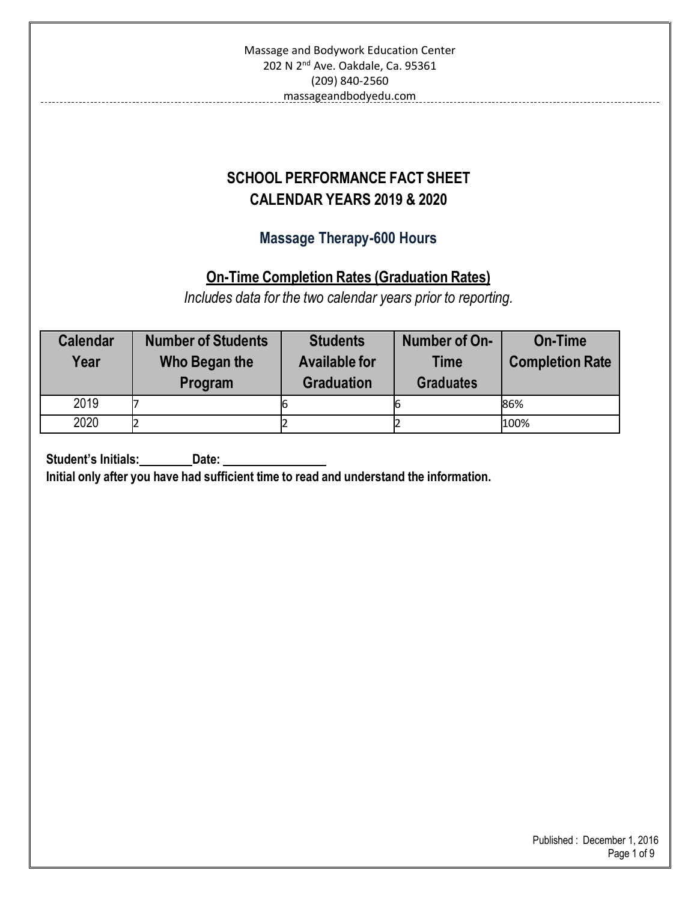| Massage and Bodywork Education Center         |                                                                                                           |                                                    |                  |      |  |  |  |
|-----------------------------------------------|-----------------------------------------------------------------------------------------------------------|----------------------------------------------------|------------------|------|--|--|--|
| 202 N 2 <sup>nd</sup> Ave. Oakdale, Ca. 95361 |                                                                                                           |                                                    |                  |      |  |  |  |
|                                               | (209) 840-2560                                                                                            |                                                    |                  |      |  |  |  |
|                                               |                                                                                                           | massageandbodyedu.com                              |                  |      |  |  |  |
|                                               |                                                                                                           |                                                    |                  |      |  |  |  |
|                                               |                                                                                                           |                                                    |                  |      |  |  |  |
|                                               |                                                                                                           | <b>SCHOOL PERFORMANCE FACT SHEET</b>               |                  |      |  |  |  |
|                                               |                                                                                                           | <b>CALENDAR YEARS 2019 &amp; 2020</b>              |                  |      |  |  |  |
|                                               |                                                                                                           |                                                    |                  |      |  |  |  |
|                                               |                                                                                                           | <b>Massage Therapy-600 Hours</b>                   |                  |      |  |  |  |
|                                               |                                                                                                           |                                                    |                  |      |  |  |  |
|                                               |                                                                                                           | <b>On-Time Completion Rates (Graduation Rates)</b> |                  |      |  |  |  |
|                                               | Includes data for the two calendar years prior to reporting.                                              |                                                    |                  |      |  |  |  |
|                                               |                                                                                                           |                                                    |                  |      |  |  |  |
|                                               | <b>Calendar</b><br><b>Number of On-</b><br><b>On-Time</b><br><b>Number of Students</b><br><b>Students</b> |                                                    |                  |      |  |  |  |
| Year                                          | <b>Available for</b><br><b>Completion Rate</b><br>Who Began the<br><b>Time</b>                            |                                                    |                  |      |  |  |  |
|                                               | Program                                                                                                   | <b>Graduation</b>                                  | <b>Graduates</b> |      |  |  |  |
| 2019                                          | 7                                                                                                         | 6                                                  | 6                | 86%  |  |  |  |
| 2020                                          | $\overline{2}$                                                                                            | 2                                                  | 2                | 100% |  |  |  |
|                                               |                                                                                                           |                                                    |                  |      |  |  |  |

**Student's Initials:** Date:

**Initial only after you have had sufficient time to read and understand the information.**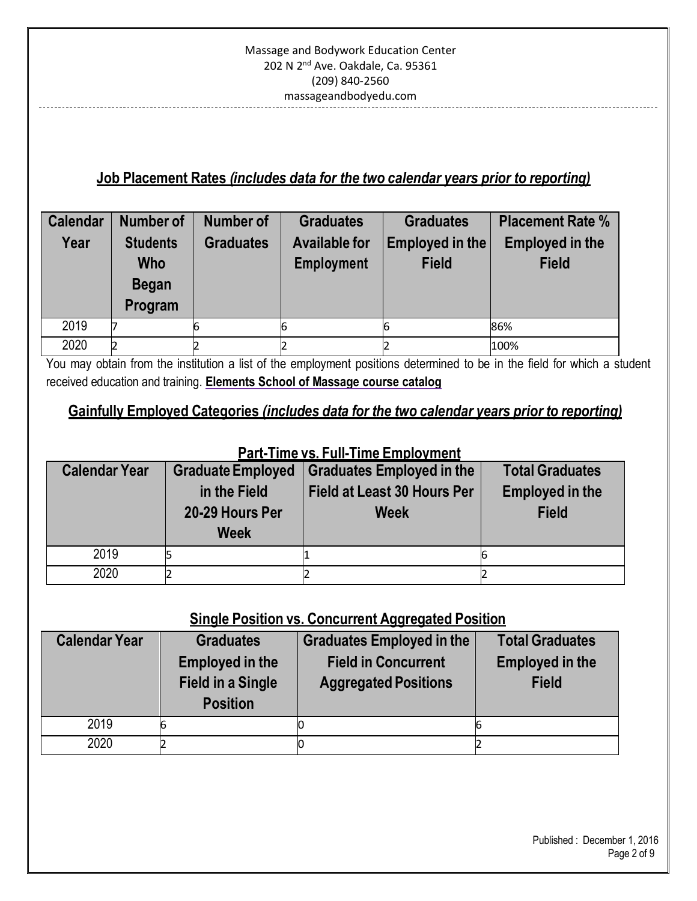### **Job Placement Rates** *(includes data for the two calendar years prior to reporting)*

| <b>Calendar</b><br>Year | <b>Number of</b><br><b>Students</b><br><b>Who</b><br><b>Began</b><br>Program | <b>Number of</b><br><b>Graduates</b> | <b>Graduates</b><br><b>Available for</b><br><b>Employment</b> | <b>Graduates</b><br>Employed in the<br><b>Field</b> | <b>Placement Rate %</b><br><b>Employed in the</b><br><b>Field</b> |
|-------------------------|------------------------------------------------------------------------------|--------------------------------------|---------------------------------------------------------------|-----------------------------------------------------|-------------------------------------------------------------------|
| 2019                    |                                                                              |                                      |                                                               | ь                                                   | 86%                                                               |
| 2020                    |                                                                              |                                      |                                                               |                                                     | 100%                                                              |

You may obtain from the institution a list of the employment positions determined to be in the field for which a student received education and training. **Elements School of Massage course catalog**

### **Gainfully Employed Categories** *(includes data for the two calendar years prior to reporting)*

### **Part-Time vs. Full-Time Employment**

| <b>Calendar Year</b> | <b>Graduate Employed</b> | <b>Graduates Employed in the</b>   | <b>Total Graduates</b> |  |
|----------------------|--------------------------|------------------------------------|------------------------|--|
|                      | in the Field             | <b>Field at Least 30 Hours Per</b> | <b>Employed in the</b> |  |
|                      | 20-29 Hours Per          | <b>Week</b>                        | <b>Field</b>           |  |
|                      | <b>Week</b>              |                                    |                        |  |
| 2019                 |                          |                                    |                        |  |
| 2020                 |                          |                                    |                        |  |

### **Single Position vs. Concurrent Aggregated Position**

| <b>Calendar Year</b> | <b>Graduates</b><br><b>Employed in the</b><br><b>Field in a Single</b><br><b>Position</b> | <b>Graduates Employed in the</b><br><b>Field in Concurrent</b><br><b>Aggregated Positions</b> | <b>Total Graduates</b><br><b>Employed in the</b><br><b>Field</b> |
|----------------------|-------------------------------------------------------------------------------------------|-----------------------------------------------------------------------------------------------|------------------------------------------------------------------|
| 2019                 |                                                                                           |                                                                                               |                                                                  |
| 2020                 |                                                                                           |                                                                                               |                                                                  |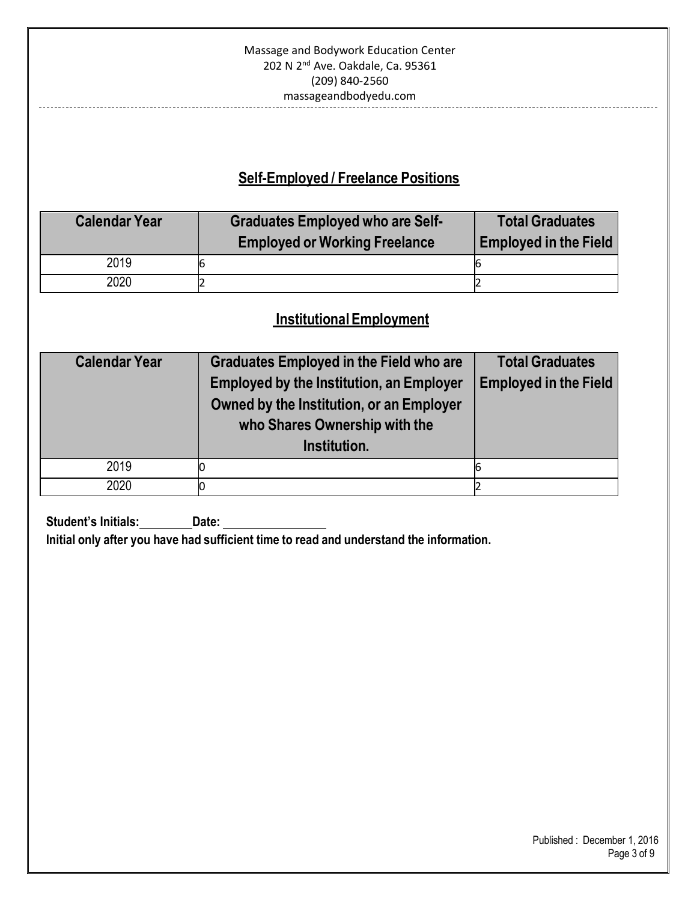## **Self-Employed / Freelance Positions**

| <b>Calendar Year</b> | <b>Graduates Employed who are Self-</b><br><b>Employed or Working Freelance</b> | <b>Total Graduates</b><br><b>Employed in the Field</b> |
|----------------------|---------------------------------------------------------------------------------|--------------------------------------------------------|
| 2019                 | 6                                                                               |                                                        |
| 2020                 |                                                                                 |                                                        |

### **InstitutionalEmployment**

| <b>Calendar Year</b> | <b>Graduates Employed in the Field who are</b><br><b>Employed by the Institution, an Employer</b><br>Owned by the Institution, or an Employer<br>who Shares Ownership with the<br>Institution. | <b>Total Graduates</b><br><b>Employed in the Field</b> |
|----------------------|------------------------------------------------------------------------------------------------------------------------------------------------------------------------------------------------|--------------------------------------------------------|
| 2019                 |                                                                                                                                                                                                |                                                        |
| 2020                 |                                                                                                                                                                                                |                                                        |

**Student's Initials:** Date: \_\_\_\_ **Initial only after you have had sufficient time to read and understand the information.**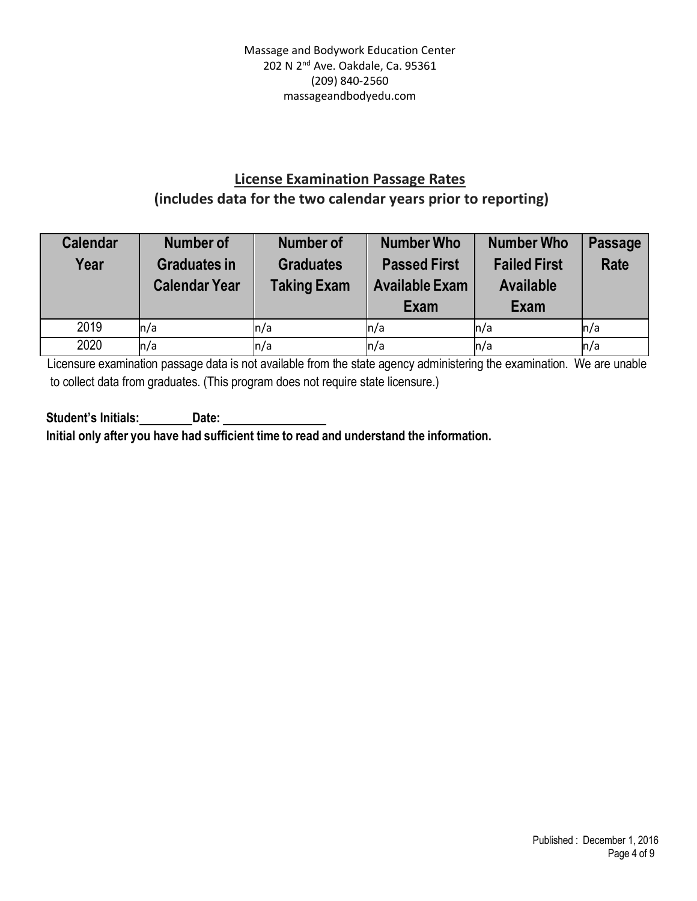### **License Examination Passage Rates (includes data for the two calendar years prior to reporting)**

| <b>Calendar</b><br>Year | <b>Number of</b><br><b>Graduates in</b><br><b>Calendar Year</b> | <b>Number of</b><br><b>Graduates</b><br><b>Taking Exam</b> | <b>Number Who</b><br><b>Passed First</b><br><b>Available Exam</b><br>Exam | <b>Number Who</b><br><b>Failed First</b><br><b>Available</b><br>Exam | <b>Passage</b><br><b>Rate</b> |
|-------------------------|-----------------------------------------------------------------|------------------------------------------------------------|---------------------------------------------------------------------------|----------------------------------------------------------------------|-------------------------------|
| 2019                    | n/a                                                             | n/a                                                        | ln/a                                                                      | n/a                                                                  | ln/a                          |
| 2020                    | n/a                                                             | n/a                                                        | $\ln/a$                                                                   | n/a                                                                  | n/a                           |

Licensure examination passage data is not available from the state agency administering the examination. We are unable to collect data from graduates. (This program does not require state licensure.)

**Student's Initials: Date: Initial only after you have had sufficient time to read and understand the information.**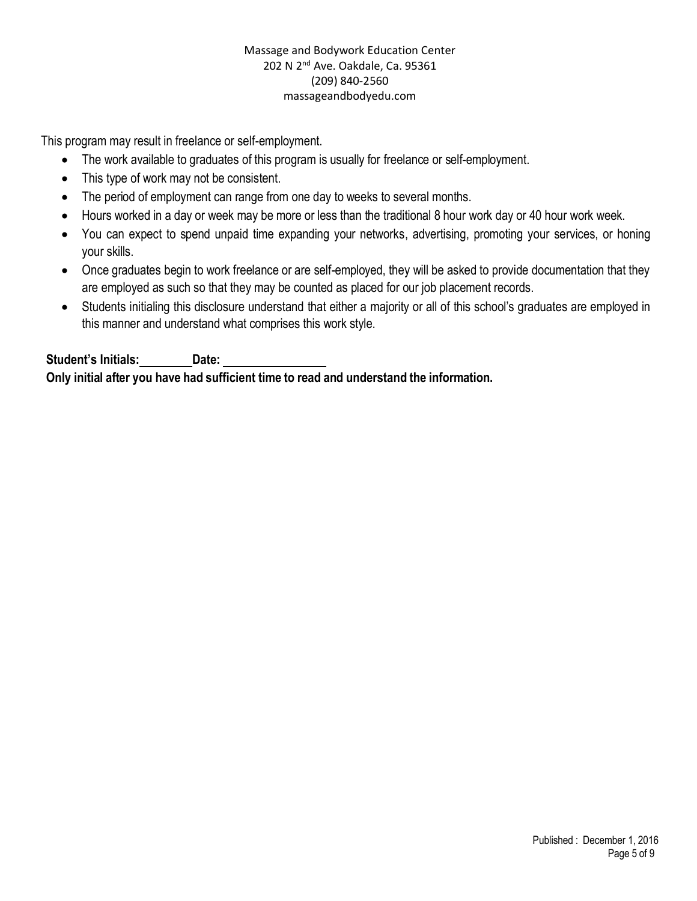This program may result in freelance or self-employment.

- The work available to graduates of this program is usually for freelance or self-employment.
- This type of work may not be consistent.
- The period of employment can range from one day to weeks to several months.
- Hours worked in a day or week may be more or less than the traditional 8 hour work day or 40 hour work week.
- You can expect to spend unpaid time expanding your networks, advertising, promoting your services, or honing your skills.
- Once graduates begin to work freelance or are self-employed, they will be asked to provide documentation that they are employed as such so that they may be counted as placed for our job placement records.
- Students initialing this disclosure understand that either a majority or all of this school's graduates are employed in this manner and understand what comprises this work style.

**Student's Initials: Date: Only initial after you have had sufficient time to read and understand the information.**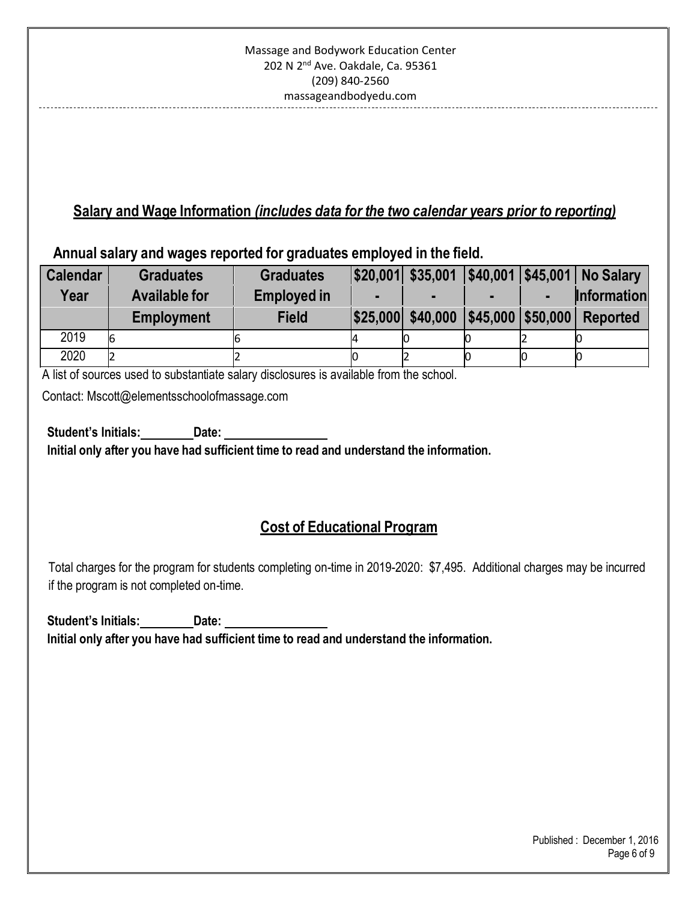## **Salary and Wage Information** *(includes data for the two calendar years prior to reporting)*

**Annual salary and wages reported for graduates employed in the field.**

| <b>Calendar</b> | <b>Graduates</b>     | <b>Graduates</b>   |  |  | \$20,001 \$35,001 \$40,001 \$45,001 No Salary       |
|-----------------|----------------------|--------------------|--|--|-----------------------------------------------------|
| Year            | <b>Available for</b> | <b>Employed in</b> |  |  | <b>Information</b>                                  |
|                 | <b>Employment</b>    | <b>Field</b>       |  |  | \$25,000  \$40,000   \$45,000   \$50,000   Reported |
| 2019            | 6                    |                    |  |  |                                                     |
| 2020            | 12                   |                    |  |  |                                                     |

A list of sources used to substantiate salary disclosures is available from the school.

Contact: Mscott@elementsschoolofmassage.com

**Student's Initials: Date: Initial only after you have had sufficient time to read and understand the information.**

## **Cost of Educational Program**

Total charges for the program for students completing on-time in 2019-2020: \$7,495. Additional charges may be incurred if the program is not completed on-time.

**Student's Initials: Date: Initial only after you have had sufficient time to read and understand the information.**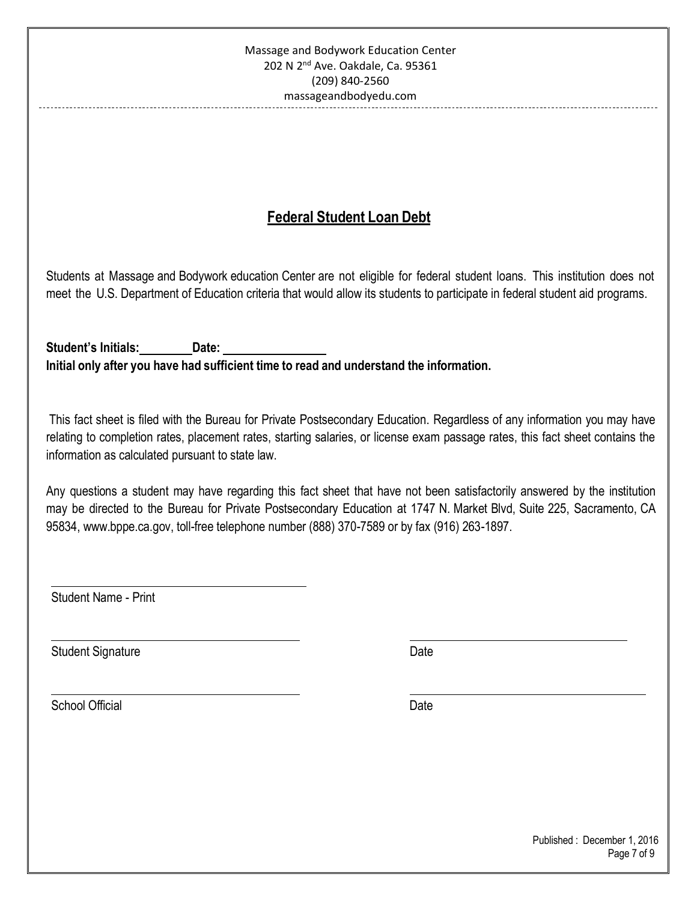## **Federal Student Loan Debt**

Students at Massage and Bodywork education Center are not eligible for federal student loans. This institution does not meet the U.S. Department of Education criteria that would allow its students to participate in federal student aid programs.

**Student's Initials: Date: Initial only after you have had sufficient time to read and understand the information.**

This fact sheet is filed with the Bureau for Private Postsecondary Education. Regardless of any information you may have relating to completion rates, placement rates, starting salaries, or license exam passage rates, this fact sheet contains the information as calculated pursuant to state law.

Any questions a student may have regarding this fact sheet that have not been satisfactorily answered by the institution may be directed to the Bureau for Private Postsecondary Education at 1747 N. Market Blvd, Suite 225, Sacramento, CA 95834, [www.bppe.ca.gov,](http://www.bppe.ca.gov/) toll-free telephone number (888) 370-7589 or by fax (916) 263-1897.

Student Name - Print

Student Signature Date Date Controller and Date Date Date

School Official Date Date Control of the Date Date Date Date Date Date Date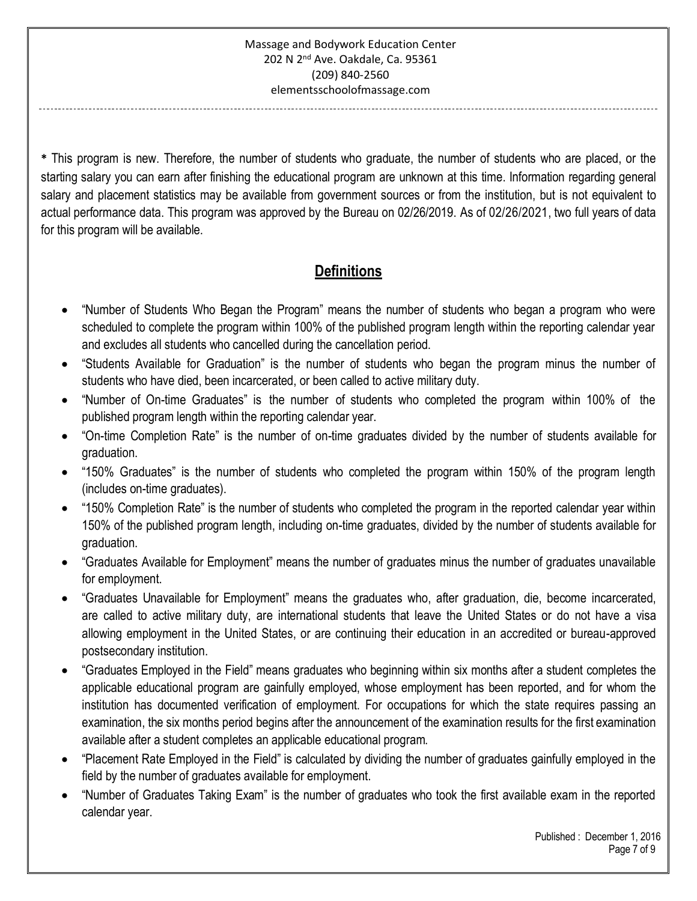**\*** This program is new. Therefore, the number of students who graduate, the number of students who are placed, or the starting salary you can earn after finishing the educational program are unknown at this time. Information regarding general salary and placement statistics may be available from government sources or from the institution, but is not equivalent to actual performance data. This program was approved by the Bureau on 02/26/2019. As of 02/26/2021, two full years of data for this program will be available.

# **Definitions**

- "Number of Students Who Began the Program" means the number of students who began a program who were scheduled to complete the program within 100% of the published program length within the reporting calendar year and excludes all students who cancelled during the cancellation period.
- "Students Available for Graduation" is the number of students who began the program minus the number of students who have died, been incarcerated, or been called to active military duty.
- "Number of On-time Graduates" is the number of students who completed the program within 100% of the published program length within the reporting calendar year.
- "On-time Completion Rate" is the number of on-time graduates divided by the number of students available for graduation.
- "150% Graduates" is the number of students who completed the program within 150% of the program length (includes on-time graduates).
- "150% Completion Rate" is the number of students who completed the program in the reported calendar year within 150% of the published program length, including on-time graduates, divided by the number of students available for graduation.
- "Graduates Available for Employment" means the number of graduates minus the number of graduates unavailable for employment.
- "Graduates Unavailable for Employment" means the graduates who, after graduation, die, become incarcerated, are called to active military duty, are international students that leave the United States or do not have a visa allowing employment in the United States, or are continuing their education in an accredited or bureau-approved postsecondary institution.
- "Graduates Employed in the Field" means graduates who beginning within six months after a student completes the applicable educational program are gainfully employed, whose employment has been reported, and for whom the institution has documented verification of employment. For occupations for which the state requires passing an examination, the six months period begins after the announcement of the examination results for the first examination available after a student completes an applicable educational program.
- "Placement Rate Employed in the Field" is calculated by dividing the number of graduates gainfully employed in the field by the number of graduates available for employment.
- "Number of Graduates Taking Exam" is the number of graduates who took the first available exam in the reported calendar year.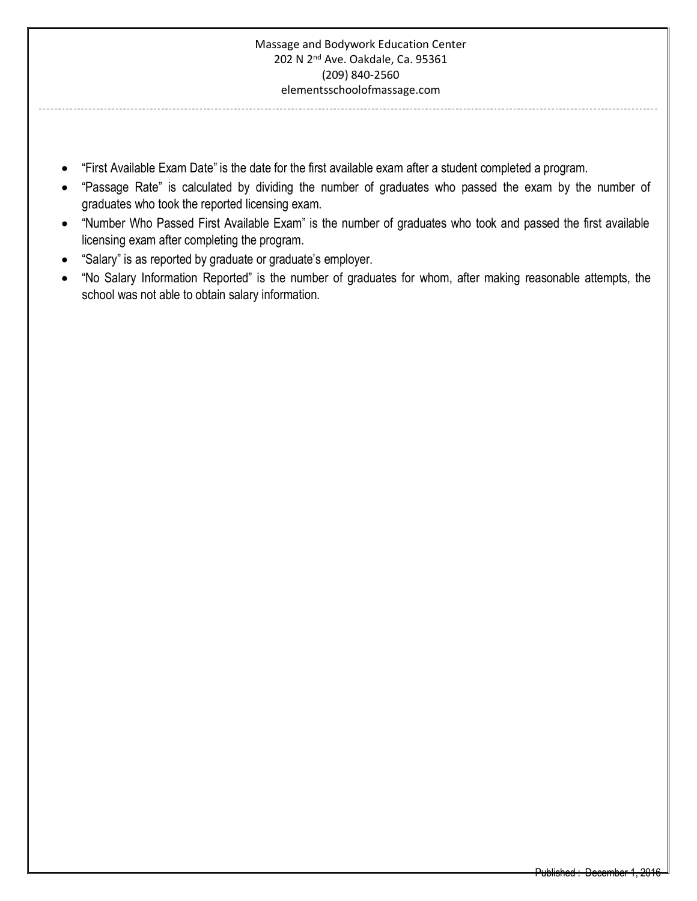------------------------

-----------------------------

- "First Available Exam Date" is the date for the first available exam after a student completed a program.
- "Passage Rate" is calculated by dividing the number of graduates who passed the exam by the number of graduates who took the reported licensing exam.
- "Number Who Passed First Available Exam" is the number of graduates who took and passed the first available licensing exam after completing the program.
- "Salary" is as reported by graduate or graduate's employer.
- "No Salary Information Reported" is the number of graduates for whom, after making reasonable attempts, the school was not able to obtain salary information.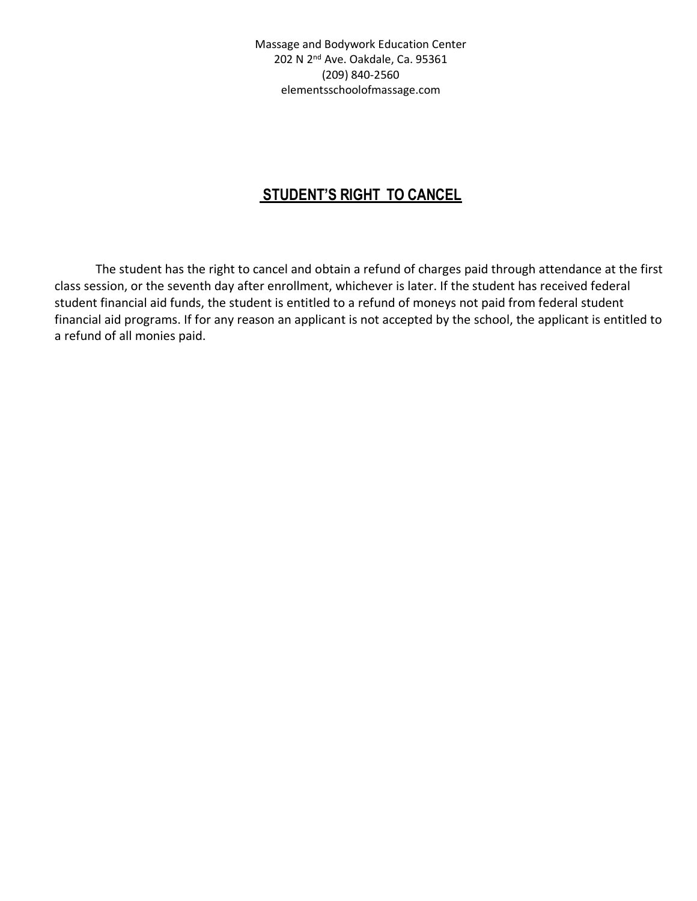Massage and Bodywork Education Center 202 N 2nd Ave. Oakdale, Ca. 95361 (209) 840-2560 elementsschoolofmassage.com

## **STUDENT'S RIGHT TO CANCEL**

The student has the right to cancel and obtain a refund of charges paid through attendance at the first class session, or the seventh day after enrollment, whichever is later. If the student has received federal student financial aid funds, the student is entitled to a refund of moneys not paid from federal student financial aid programs. If for any reason an applicant is not accepted by the school, the applicant is entitled to a refund of all monies paid.